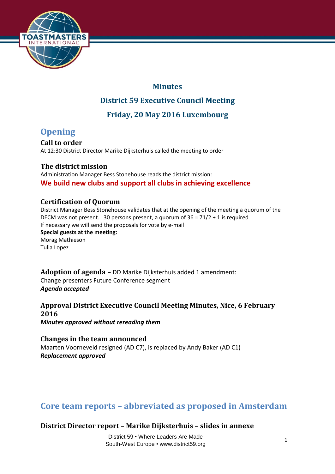

## **Minutes**

## **District 59 Executive Council Meeting**

**Friday, 20 May 2016 Luxembourg**

# **Opening**

**Call to order**  At 12:30 District Director Marike Dijksterhuis called the meeting to order

**The district mission**  Administration Manager Bess Stonehouse reads the district mission:

**We build new clubs and support all clubs in achieving excellence** 

### **Certification of Quorum**

District Manager Bess Stonehouse validates that at the opening of the meeting a quorum of the DECM was not present. 30 persons present, a quorum of 36 = 71/2 + 1 is required If necessary we will send the proposals for vote by e-mail **Special guests at the meeting:** Morag Mathieson Tulia Lopez

**Adoption of agenda –** DD Marike Dijksterhuis added 1 amendment: Change presenters Future Conference segment *Agenda accepted*

**Approval District Executive Council Meeting Minutes, Nice, 6 February 2016** *Minutes approved without rereading them*

**Changes in the team announced** Maarten Voorneveld resigned (AD C7), is replaced by Andy Baker (AD C1) *Replacement approved*

# **Core team reports – abbreviated as proposed in Amsterdam**

**District Director report – Marike Dijksterhuis – slides in annexe**

District 59 • Where Leaders Are Made South-West Europe • www.district59.org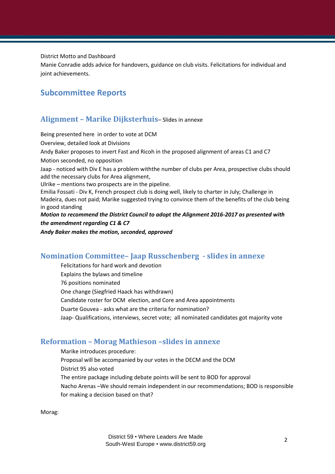District Motto and Dashboard

Manie Conradie adds advice for handovers, guidance on club visits. Felicitations for individual and joint achievements.

### **Subcommittee Reports**

#### **Alignment – Marike Dijksterhuis**– Slides in annexe

Being presented here in order to vote at DCM

Overview, detailed look at Divisions

Andy Baker proposes to invert Fast and Ricoh in the proposed alignment of areas C1 and C7

Motion seconded, no opposition

Jaap - noticed with Div E has a problem withthe number of clubs per Area, prospective clubs should add the necessary clubs for Area alignment,

Ulrike – mentions two prospects are in the pipeline.

Emilia Fossati - Div K, French prospect club is doing well, likely to charter in July; Challenge in Madeira, dues not paid; Marike suggested trying to convince them of the benefits of the club being in good standing

#### *Motion to recommend the District Council to adopt the Alignment 2016-2017 as presented with the amendment regarding C1 & C7*

*Andy Baker makes the motion, seconded, approved*

### **Nomination Committee– Jaap Russchenberg - slides in annexe**

Felicitations for hard work and devotion Explains the bylaws and timeline 76 positions nominated One change (Siegfried Haack has withdrawn) Candidate roster for DCM election, and Core and Area appointments Duarte Gouvea - asks what are the criteria for nomination? Jaap- Qualifications, interviews, secret vote; all nominated candidates got majority vote

### **Reformation – Morag Mathieson –slides in annexe**

Marike introduces procedure: Proposal will be accompanied by our votes in the DECM and the DCM District 95 also voted The entire package including debate points will be sent to BOD for approval Nacho Arenas –We should remain independent in our recommendations; BOD is responsible for making a decision based on that?

Morag: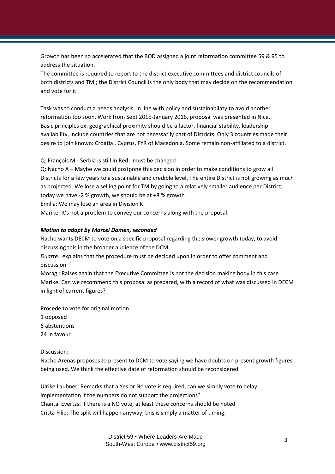Growth has been so accelerated that the BOD assigned a joint reformation committee 59 & 95 to address the situation.

The committee is required to report to the district executive committees and district councils of both districts and TMI; the District Council is the only body that may decide on the recommendation and vote for it.

Task was to conduct a needs analysis, in line with policy and sustainabilaty to avoid another reformation too soon. Work from Sept 2015-January 2016, proposal was presented in Nice. Basic principles ex: geographical proximity should be a factor, financial stability, leadership availability, include countries that are not necessarily part of Districts. Only 3 countries made their desire to join known: Croatia , Cyprus, FYR of Macedonia. Some remain non-affiliated to a district.

Q: François M - Serbia is still in Red, must be changed

Q: Nacho A – Maybe we could postpone this decision in order to make conditions to grow all Districts for a few years to a sustainable and credible level. The entire District is not growing as much as projected. We lose a selling point for TM by going to a relatively smaller audience per District, today we have -2 % growth, we should be at +8 % growth

Emilia: We may lose an area in Division K

Marike: It's not a problem to convey our concerns along with the proposal.

#### *Motion to adopt by Marcel Damen, seconded*

Nacho wants DECM to vote on a specific proposal regarding the slower growth today, to avoid discussing this in the broader audience of the DCM,.

*Duarte:* explains that the procedure must be decided upon in order to offer comment and discussion

Morag : Raises again that the Executive Committee is not the decision making body in this case Marike: Can we recommend this proposal as prepared, with a record of what was discussed in DECM in light of current figures?

Procede to vote for original motion.

- 1 opposed
- 6 abstentions
- 24 in favour

Discussion:

Nacho Arenas proposes to present to DCM to vote saying we have doubts on present growth figures being used. We think the effective date of reformation should be reconsidered.

Ulrike Laubner: Remarks that a Yes or No vote is required, can we simply vote to delay implementation if the numbers do not support the projections? Chantal Evertzs: If there is a NO vote, at least these concerns should be noted Crista Filip: The split will happen anyway, this is simply a matter of timing.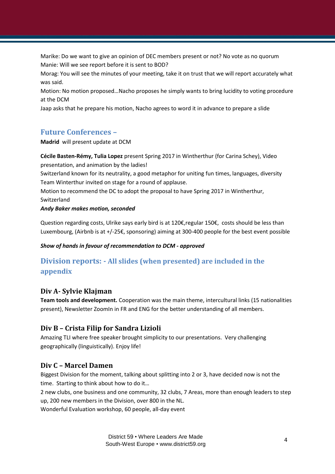Marike: Do we want to give an opinion of DEC members present or not? No vote as no quorum Manie: Will we see report before it is sent to BOD?

Morag: You will see the minutes of your meeting, take it on trust that we will report accurately what was said.

Motion: No motion proposed…Nacho proposes he simply wants to bring lucidity to voting procedure at the DCM

Jaap asks that he prepare his motion, Nacho agrees to word it in advance to prepare a slide

#### **Future Conferences –**

**Madrid** will present update at DCM

**Cécile Basten-Rémy, Tulia Lopez** present Spring 2017 in Wintherthur (for Carina Schey), Video presentation, and animation by the ladies!

Switzerland known for its neutrality, a good metaphor for uniting fun times, languages, diversity Team Winterthur invited on stage for a round of applause.

Motion to recommend the DC to adopt the proposal to have Spring 2017 in Wintherthur, Switzerland

#### *Andy Baker makes motion, seconded*

Question regarding costs, Ulrike says early bird is at 120 $\epsilon$ , regular 150 $\epsilon$ , costs should be less than Luxembourg, (Airbnb is at +/-25€, sponsoring) aiming at 300-400 people for the best event possible

#### *Show of hands in favour of recommendation to DCM - approved*

## **Division reports: - All slides (when presented) are included in the appendix**

#### **Div A- Sylvie Klajman**

**Team tools and development.** Cooperation was the main theme, intercultural links (15 nationalities present), Newsletter ZoomIn in FR and ENG for the better understanding of all members.

#### **Div B – Crista Filip for Sandra Lizioli**

Amazing TLI where free speaker brought simplicity to our presentations. Very challenging geographically (linguistically). Enjoy life!

#### **Div C – Marcel Damen**

Biggest Division for the moment, talking about splitting into 2 or 3, have decided now is not the time. Starting to think about how to do it…

2 new clubs, one business and one community, 32 clubs, 7 Areas, more than enough leaders to step up, 200 new members in the Division, over 800 in the NL.

Wonderful Evaluation workshop, 60 people, all-day event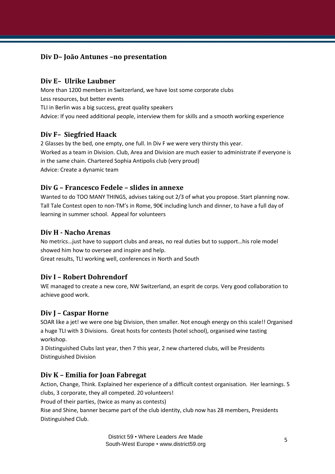### **Div D– João Antunes –no presentation**

#### **Div E– Ulrike Laubner**

More than 1200 members in Switzerland, we have lost some corporate clubs Less resources, but better events TLI in Berlin was a big success, great quality speakers Advice: If you need additional people, interview them for skills and a smooth working experience

#### **Div F– Siegfried Haack**

2 Glasses by the bed, one empty, one full. In Div F we were very thirsty this year. Worked as a team in Division. Club, Area and Division are much easier to administrate if everyone is in the same chain. Chartered Sophia Antipolis club (very proud) Advice: Create a dynamic team

#### **Div G – Francesco Fedele – slides in annexe**

Wanted to do TOO MANY THINGS, advises taking out 2/3 of what you propose. Start planning now. Tall Tale Contest open to non-TM's in Rome, 90€ including lunch and dinner, to have a full day of learning in summer school. Appeal for volunteers

#### **Div H - Nacho Arenas**

No metrics…just have to support clubs and areas, no real duties but to support…his role model showed him how to oversee and inspire and help. Great results, TLI working well, conferences in North and South

#### **Div I – Robert Dohrendorf**

WE managed to create a new core, NW Switzerland, an esprit de corps. Very good collaboration to achieve good work.

### **Div J – Caspar Horne**

SOAR like a jet! we were one big Division, then smaller. Not enough energy on this scale!! Organised a huge TLI with 3 Divisions. Great hosts for contests (hotel school), organised wine tasting workshop.

3 Distinguished Clubs last year, then 7 this year, 2 new chartered clubs, will be Presidents Distinguished Division

#### **Div K – Emilia for Joan Fabregat**

Action, Change, Think. Explained her experience of a difficult contest organisation. Her learnings. 5 clubs, 3 corporate, they all competed. 20 volunteers!

Proud of their parties, (twice as many as contests)

Rise and Shine, banner became part of the club identity, club now has 28 members, Presidents Distinguished Club.

> District 59 • Where Leaders Are Made South-West Europe • www.district59.org